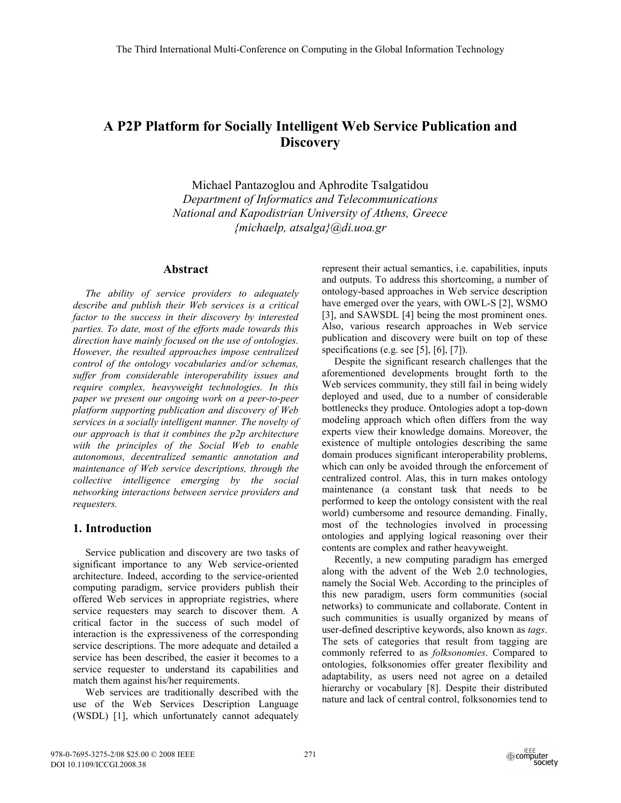# **A P2P Platform for Socially Intelligent Web Service Publication and Discovery**

Michael Pantazoglou and Aphrodite Tsalgatidou *Department of Informatics and Telecommunications National and Kapodistrian University of Athens, Greece {michaelp, atsalga}@di.uoa.gr* 

## **Abstract**

*The ability of service providers to adequately describe and publish their Web services is a critical factor to the success in their discovery by interested parties. To date, most of the efforts made towards this direction have mainly focused on the use of ontologies. However, the resulted approaches impose centralized control of the ontology vocabularies and/or schemas, suffer from considerable interoperability issues and require complex, heavyweight technologies. In this paper we present our ongoing work on a peer-to-peer platform supporting publication and discovery of Web services in a socially intelligent manner. The novelty of our approach is that it combines the p2p architecture with the principles of the Social Web to enable autonomous, decentralized semantic annotation and maintenance of Web service descriptions, through the collective intelligence emerging by the social networking interactions between service providers and requesters.* 

## **1. Introduction**

Service publication and discovery are two tasks of significant importance to any Web service-oriented architecture. Indeed, according to the service-oriented computing paradigm, service providers publish their offered Web services in appropriate registries, where service requesters may search to discover them. A critical factor in the success of such model of interaction is the expressiveness of the corresponding service descriptions. The more adequate and detailed a service has been described, the easier it becomes to a service requester to understand its capabilities and match them against his/her requirements.

Web services are traditionally described with the use of the Web Services Description Language (WSDL) [1], which unfortunately cannot adequately represent their actual semantics, i.e. capabilities, inputs and outputs. To address this shortcoming, a number of ontology-based approaches in Web service description have emerged over the years, with OWL-S [2], WSMO [3], and SAWSDL [4] being the most prominent ones. Also, various research approaches in Web service publication and discovery were built on top of these specifications (e.g. see [5], [6], [7]).

Despite the significant research challenges that the aforementioned developments brought forth to the Web services community, they still fail in being widely deployed and used, due to a number of considerable bottlenecks they produce. Ontologies adopt a top-down modeling approach which often differs from the way experts view their knowledge domains. Moreover, the existence of multiple ontologies describing the same domain produces significant interoperability problems, which can only be avoided through the enforcement of centralized control. Alas, this in turn makes ontology maintenance (a constant task that needs to be performed to keep the ontology consistent with the real world) cumbersome and resource demanding. Finally, most of the technologies involved in processing ontologies and applying logical reasoning over their contents are complex and rather heavyweight.

Recently, a new computing paradigm has emerged along with the advent of the Web 2.0 technologies, namely the Social Web. According to the principles of this new paradigm, users form communities (social networks) to communicate and collaborate. Content in such communities is usually organized by means of user-defined descriptive keywords, also known as *tags*. The sets of categories that result from tagging are commonly referred to as *folksonomies*. Compared to ontologies, folksonomies offer greater flexibility and adaptability, as users need not agree on a detailed hierarchy or vocabulary [8]. Despite their distributed nature and lack of central control, folksonomies tend to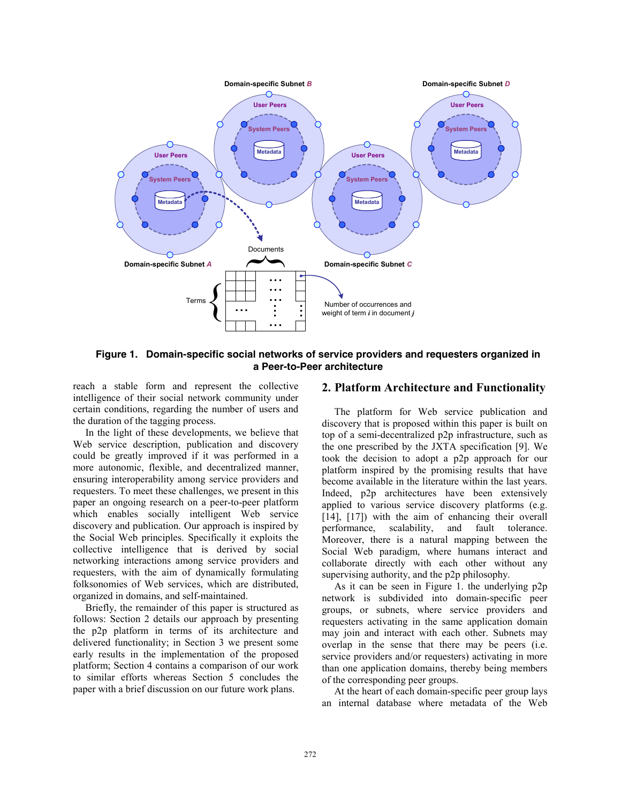

**Figure 1. Domain-specific social networks of service providers and requesters organized in a Peer-to-Peer architecture** 

reach a stable form and represent the collective intelligence of their social network community under certain conditions, regarding the number of users and the duration of the tagging process.

In the light of these developments, we believe that Web service description, publication and discovery could be greatly improved if it was performed in a more autonomic, flexible, and decentralized manner, ensuring interoperability among service providers and requesters. To meet these challenges, we present in this paper an ongoing research on a peer-to-peer platform which enables socially intelligent Web service discovery and publication. Our approach is inspired by the Social Web principles. Specifically it exploits the collective intelligence that is derived by social networking interactions among service providers and requesters, with the aim of dynamically formulating folksonomies of Web services, which are distributed, organized in domains, and self-maintained.

Briefly, the remainder of this paper is structured as follows: Section 2 details our approach by presenting the p2p platform in terms of its architecture and delivered functionality; in Section 3 we present some early results in the implementation of the proposed platform; Section 4 contains a comparison of our work to similar efforts whereas Section 5 concludes the paper with a brief discussion on our future work plans.

## **2. Platform Architecture and Functionality**

The platform for Web service publication and discovery that is proposed within this paper is built on top of a semi-decentralized p2p infrastructure, such as the one prescribed by the JXTA specification [9]. We took the decision to adopt a p2p approach for our platform inspired by the promising results that have become available in the literature within the last years. Indeed, p2p architectures have been extensively applied to various service discovery platforms (e.g. [14], [17]) with the aim of enhancing their overall performance, scalability, and fault tolerance. Moreover, there is a natural mapping between the Social Web paradigm, where humans interact and collaborate directly with each other without any supervising authority, and the p2p philosophy.

As it can be seen in Figure 1. the underlying p2p network is subdivided into domain-specific peer groups, or subnets, where service providers and requesters activating in the same application domain may join and interact with each other. Subnets may overlap in the sense that there may be peers (i.e. service providers and/or requesters) activating in more than one application domains, thereby being members of the corresponding peer groups.

At the heart of each domain-specific peer group lays an internal database where metadata of the Web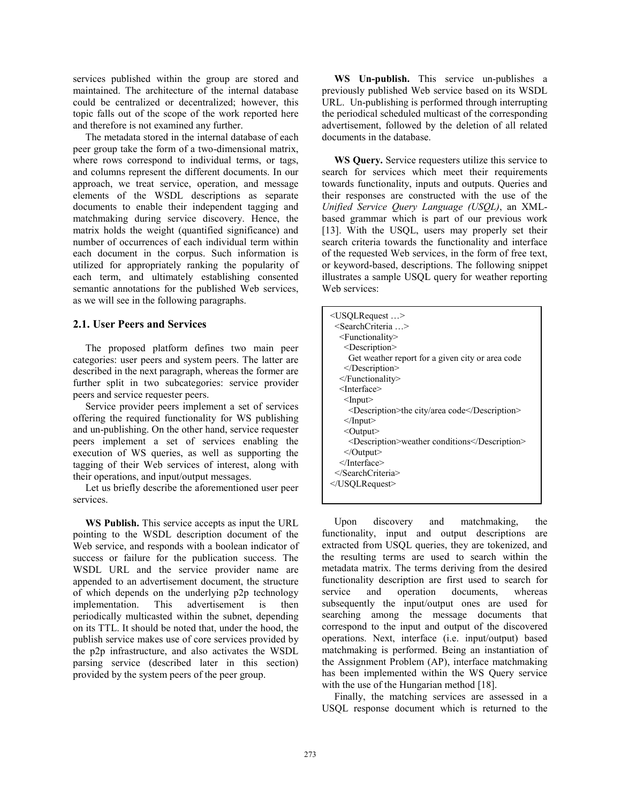services published within the group are stored and maintained. The architecture of the internal database could be centralized or decentralized; however, this topic falls out of the scope of the work reported here and therefore is not examined any further.

The metadata stored in the internal database of each peer group take the form of a two-dimensional matrix, where rows correspond to individual terms, or tags, and columns represent the different documents. In our approach, we treat service, operation, and message elements of the WSDL descriptions as separate documents to enable their independent tagging and matchmaking during service discovery. Hence, the matrix holds the weight (quantified significance) and number of occurrences of each individual term within each document in the corpus. Such information is utilized for appropriately ranking the popularity of each term, and ultimately establishing consented semantic annotations for the published Web services, as we will see in the following paragraphs.

### **2.1. User Peers and Services**

The proposed platform defines two main peer categories: user peers and system peers. The latter are described in the next paragraph, whereas the former are further split in two subcategories: service provider peers and service requester peers.

Service provider peers implement a set of services offering the required functionality for WS publishing and un-publishing. On the other hand, service requester peers implement a set of services enabling the execution of WS queries, as well as supporting the tagging of their Web services of interest, along with their operations, and input/output messages.

Let us briefly describe the aforementioned user peer services.

**WS Publish.** This service accepts as input the URL pointing to the WSDL description document of the Web service, and responds with a boolean indicator of success or failure for the publication success. The WSDL URL and the service provider name are appended to an advertisement document, the structure of which depends on the underlying p2p technology implementation. This advertisement is then periodically multicasted within the subnet, depending on its TTL. It should be noted that, under the hood, the publish service makes use of core services provided by the p2p infrastructure, and also activates the WSDL parsing service (described later in this section) provided by the system peers of the peer group.

**WS Un-publish.** This service un-publishes a previously published Web service based on its WSDL URL. Un-publishing is performed through interrupting the periodical scheduled multicast of the corresponding advertisement, followed by the deletion of all related documents in the database.

**WS Query.** Service requesters utilize this service to search for services which meet their requirements towards functionality, inputs and outputs. Queries and their responses are constructed with the use of the *Unified Service Query Language (USQL)*, an XMLbased grammar which is part of our previous work [13]. With the USQL, users may properly set their search criteria towards the functionality and interface of the requested Web services, in the form of free text, or keyword-based, descriptions. The following snippet illustrates a sample USQL query for weather reporting Web services:

| $<$ USQLRequest >                                |
|--------------------------------------------------|
| $\leq$ SearchCriteria $\geq$                     |
| $\leq$ Functionality>                            |
| <description></description>                      |
| Get weather report for a given city or area code |
| $<$ /Description>                                |
| $\leq$ Functionality>                            |
| <interface></interface>                          |
| $\langle$ Input $\rangle$                        |
| <description>the city/area code</description>    |
| $\le$ /Input>                                    |
| $\leq$ Output $\geq$                             |
| <description>weather conditions</description>    |
| $\le$ /Output>                                   |
|                                                  |
|                                                  |
| $\leq$ USQLRequest>                              |
|                                                  |

Upon discovery and matchmaking, the functionality, input and output descriptions are extracted from USQL queries, they are tokenized, and the resulting terms are used to search within the metadata matrix. The terms deriving from the desired functionality description are first used to search for service and operation documents, whereas subsequently the input/output ones are used for searching among the message documents that correspond to the input and output of the discovered operations. Next, interface (i.e. input/output) based matchmaking is performed. Being an instantiation of the Assignment Problem (AP), interface matchmaking has been implemented within the WS Query service with the use of the Hungarian method [18].

Finally, the matching services are assessed in a USQL response document which is returned to the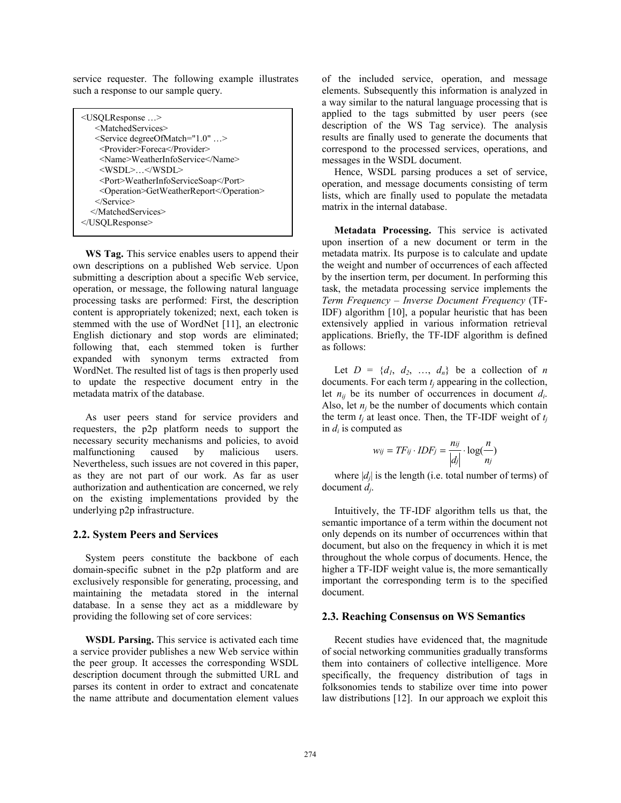service requester. The following example illustrates such a response to our sample query.

| $<$ USQLResponse $>$                    |
|-----------------------------------------|
| <matchedservices></matchedservices>     |
| $\le$ Service degreeOfMatch="1.0"  >    |
| <provider>Foreca</provider>             |
| <name>WeatherInfoService</name>         |
| <wsdl></wsdl>                           |
| <port>WeatherInfoServiceSoap</port>     |
| <operation>GetWeatherReport</operation> |
| $\le$ /Service>                         |
|                                         |
| $\langle$ /USQLResponse>                |
|                                         |

**WS Tag.** This service enables users to append their own descriptions on a published Web service. Upon submitting a description about a specific Web service, operation, or message, the following natural language processing tasks are performed: First, the description content is appropriately tokenized; next, each token is stemmed with the use of WordNet [11], an electronic English dictionary and stop words are eliminated; following that, each stemmed token is further expanded with synonym terms extracted from WordNet. The resulted list of tags is then properly used to update the respective document entry in the metadata matrix of the database.

As user peers stand for service providers and requesters, the p2p platform needs to support the necessary security mechanisms and policies, to avoid malfunctioning caused by malicious users. Nevertheless, such issues are not covered in this paper, as they are not part of our work. As far as user authorization and authentication are concerned, we rely on the existing implementations provided by the underlying p2p infrastructure.

### **2.2. System Peers and Services**

System peers constitute the backbone of each domain-specific subnet in the p2p platform and are exclusively responsible for generating, processing, and maintaining the metadata stored in the internal database. In a sense they act as a middleware by providing the following set of core services:

**WSDL Parsing.** This service is activated each time a service provider publishes a new Web service within the peer group. It accesses the corresponding WSDL description document through the submitted URL and parses its content in order to extract and concatenate the name attribute and documentation element values of the included service, operation, and message elements. Subsequently this information is analyzed in a way similar to the natural language processing that is applied to the tags submitted by user peers (see description of the WS Tag service). The analysis results are finally used to generate the documents that correspond to the processed services, operations, and messages in the WSDL document.

Hence, WSDL parsing produces a set of service, operation, and message documents consisting of term lists, which are finally used to populate the metadata matrix in the internal database.

**Metadata Processing.** This service is activated upon insertion of a new document or term in the metadata matrix. Its purpose is to calculate and update the weight and number of occurrences of each affected by the insertion term, per document. In performing this task, the metadata processing service implements the *Term Frequency – Inverse Document Frequency* (TF-IDF) algorithm [10], a popular heuristic that has been extensively applied in various information retrieval applications. Briefly, the TF-IDF algorithm is defined as follows:

Let  $D = \{d_1, d_2, ..., d_n\}$  be a collection of *n* documents. For each term  $t_i$  appearing in the collection, let  $n_{ii}$  be its number of occurrences in document  $d_i$ . Also, let  $n_j$  be the number of documents which contain the term  $t_i$  at least once. Then, the TF-IDF weight of  $t_i$ in *di* is computed as

$$
w_{ij} = TF_{ij} \cdot IDF_j = \frac{n_{ij}}{|d_j|} \cdot \log(\frac{n}{n_j})
$$

where  $|d_i|$  is the length (i.e. total number of terms) of document *dj*.

Intuitively, the TF-IDF algorithm tells us that, the semantic importance of a term within the document not only depends on its number of occurrences within that document, but also on the frequency in which it is met throughout the whole corpus of documents. Hence, the higher a TF-IDF weight value is, the more semantically important the corresponding term is to the specified document.

#### **2.3. Reaching Consensus on WS Semantics**

Recent studies have evidenced that, the magnitude of social networking communities gradually transforms them into containers of collective intelligence. More specifically, the frequency distribution of tags in folksonomies tends to stabilize over time into power law distributions [12]. In our approach we exploit this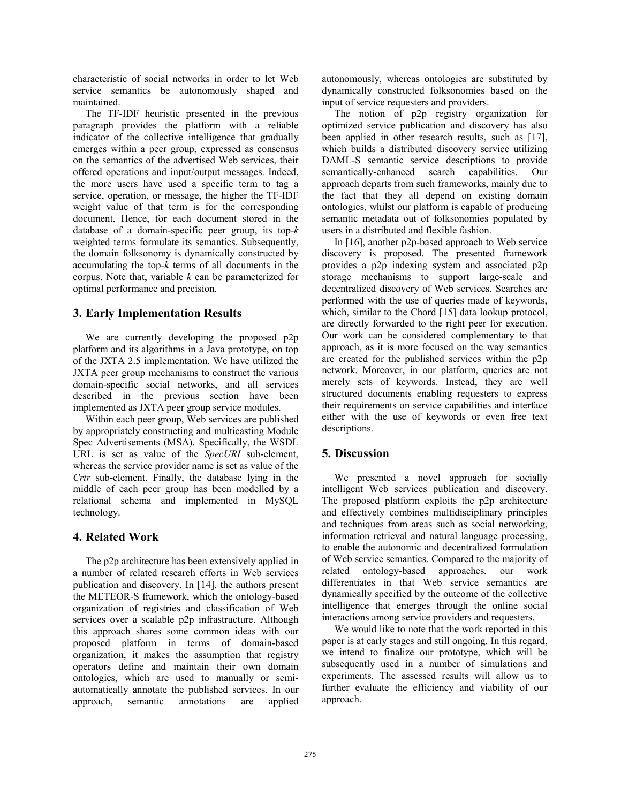characteristic of social networks in order to let Web service semantics be autonomously shaped and maintained.

The TF-IDF heuristic presented in the previous paragraph provides the platform with a reliable indicator of the collective intelligence that gradually emerges within a peer group, expressed as consensus on the semantics of the advertised Web services, their offered operations and input/output messages. Indeed, the more users have used a specific term to tag a service, operation, or message, the higher the TF-IDF weight value of that term is for the corresponding document. Hence, for each document stored in the database of a domain-specific peer group, its top-*k* weighted terms formulate its semantics. Subsequently, the domain folksonomy is dynamically constructed by accumulating the top-*k* terms of all documents in the corpus. Note that, variable *k* can be parameterized for optimal performance and precision.

## **3. Early Implementation Results**

We are currently developing the proposed p2p platform and its algorithms in a Java prototype, on top of the JXTA 2.5 implementation. We have utilized the JXTA peer group mechanisms to construct the various domain-specific social networks, and all services described in the previous section have been implemented as JXTA peer group service modules.

Within each peer group, Web services are published by appropriately constructing and multicasting Module Spec Advertisements (MSA). Specifically, the WSDL URL is set as value of the *SpecURI* sub-element, whereas the service provider name is set as value of the *Crtr* sub-element. Finally, the database lying in the middle of each peer group has been modelled by a relational schema and implemented in MySQL technology.

## **4. Related Work**

The p2p architecture has been extensively applied in a number of related research efforts in Web services publication and discovery. In [14], the authors present the METEOR-S framework, which the ontology-based organization of registries and classification of Web services over a scalable p2p infrastructure. Although this approach shares some common ideas with our proposed platform in terms of domain-based organization, it makes the assumption that registry operators define and maintain their own domain ontologies, which are used to manually or semiautomatically annotate the published services. In our approach, semantic annotations are applied autonomously, whereas ontologies are substituted by dynamically constructed folksonomies based on the input of service requesters and providers.

The notion of p2p registry organization for optimized service publication and discovery has also been applied in other research results, such as [17], which builds a distributed discovery service utilizing DAML-S semantic service descriptions to provide semantically-enhanced search capabilities. Our approach departs from such frameworks, mainly due to the fact that they all depend on existing domain ontologies, whilst our platform is capable of producing semantic metadata out of folksonomies populated by users in a distributed and flexible fashion.

In [16], another p2p-based approach to Web service discovery is proposed. The presented framework provides a p2p indexing system and associated p2p storage mechanisms to support large-scale and decentralized discovery of Web services. Searches are performed with the use of queries made of keywords, which, similar to the Chord [15] data lookup protocol, are directly forwarded to the right peer for execution. Our work can be considered complementary to that approach, as it is more focused on the way semantics are created for the published services within the p2p network. Moreover, in our platform, queries are not merely sets of keywords. Instead, they are well structured documents enabling requesters to express their requirements on service capabilities and interface either with the use of keywords or even free text descriptions.

## **5. Discussion**

We presented a novel approach for socially intelligent Web services publication and discovery. The proposed platform exploits the p2p architecture and effectively combines multidisciplinary principles and techniques from areas such as social networking, information retrieval and natural language processing, to enable the autonomic and decentralized formulation of Web service semantics. Compared to the majority of related ontology-based approaches, our work differentiates in that Web service semantics are dynamically specified by the outcome of the collective intelligence that emerges through the online social interactions among service providers and requesters.

We would like to note that the work reported in this paper is at early stages and still ongoing. In this regard, we intend to finalize our prototype, which will be subsequently used in a number of simulations and experiments. The assessed results will allow us to further evaluate the efficiency and viability of our approach.